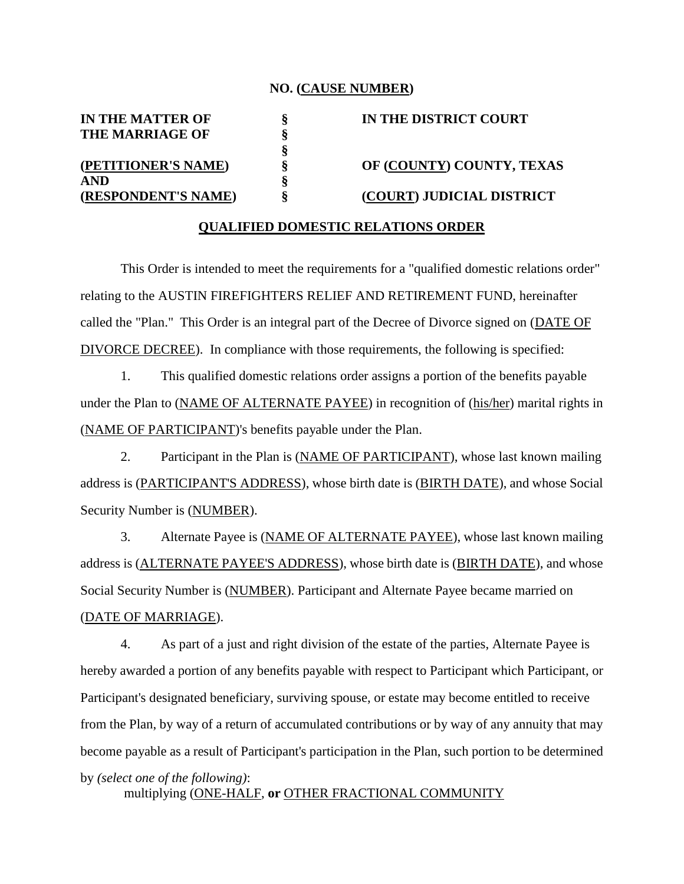## **NO. (CAUSE NUMBER)**

**§**

**THE MARRIAGE OF § AND §**

**IN THE MATTER OF § IN THE DISTRICT COURT (PETITIONER'S NAME) § OF (COUNTY) COUNTY, TEXAS (RESPONDENT'S NAME) § (COURT) JUDICIAL DISTRICT**

## **QUALIFIED DOMESTIC RELATIONS ORDER**

This Order is intended to meet the requirements for a "qualified domestic relations order" relating to the AUSTIN FIREFIGHTERS RELIEF AND RETIREMENT FUND, hereinafter called the "Plan." This Order is an integral part of the Decree of Divorce signed on (DATE OF DIVORCE DECREE). In compliance with those requirements, the following is specified:

1. This qualified domestic relations order assigns a portion of the benefits payable under the Plan to (NAME OF ALTERNATE PAYEE) in recognition of (his/her) marital rights in (NAME OF PARTICIPANT)'s benefits payable under the Plan.

2. Participant in the Plan is (NAME OF PARTICIPANT), whose last known mailing address is (PARTICIPANT'S ADDRESS), whose birth date is (BIRTH DATE), and whose Social Security Number is (NUMBER).

3. Alternate Payee is (NAME OF ALTERNATE PAYEE), whose last known mailing address is (ALTERNATE PAYEE'S ADDRESS), whose birth date is (BIRTH DATE), and whose Social Security Number is (NUMBER). Participant and Alternate Payee became married on (DATE OF MARRIAGE).

4. As part of a just and right division of the estate of the parties, Alternate Payee is hereby awarded a portion of any benefits payable with respect to Participant which Participant, or Participant's designated beneficiary, surviving spouse, or estate may become entitled to receive from the Plan, by way of a return of accumulated contributions or by way of any annuity that may become payable as a result of Participant's participation in the Plan, such portion to be determined by *(select one of the following)*: multiplying (ONE-HALF, **or** OTHER FRACTIONAL COMMUNITY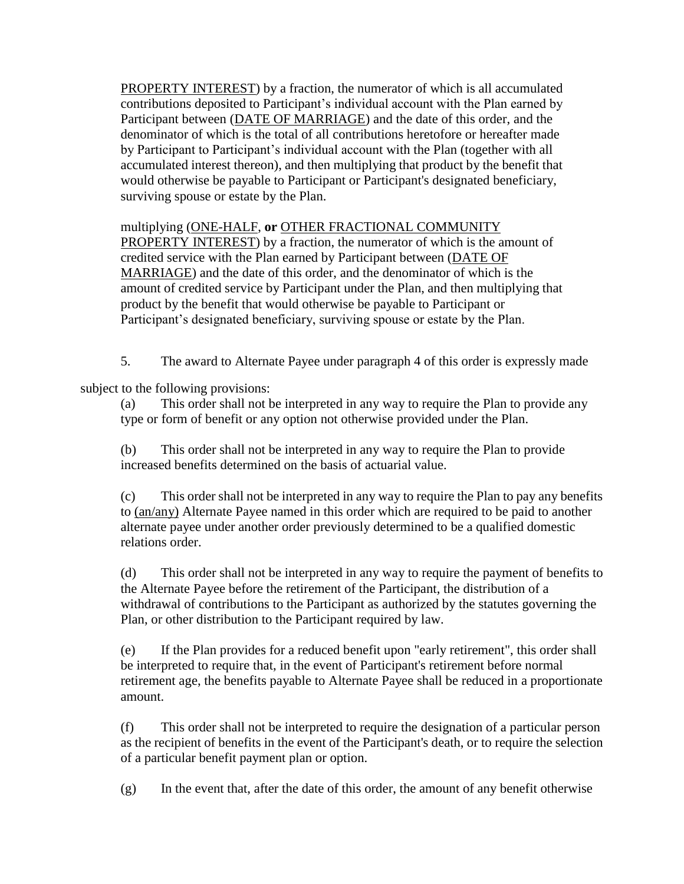PROPERTY INTEREST) by a fraction, the numerator of which is all accumulated contributions deposited to Participant's individual account with the Plan earned by Participant between (DATE OF MARRIAGE) and the date of this order, and the denominator of which is the total of all contributions heretofore or hereafter made by Participant to Participant's individual account with the Plan (together with all accumulated interest thereon), and then multiplying that product by the benefit that would otherwise be payable to Participant or Participant's designated beneficiary, surviving spouse or estate by the Plan.

multiplying (ONE-HALF, **or** OTHER FRACTIONAL COMMUNITY

PROPERTY INTEREST) by a fraction, the numerator of which is the amount of credited service with the Plan earned by Participant between (DATE OF MARRIAGE) and the date of this order, and the denominator of which is the amount of credited service by Participant under the Plan, and then multiplying that product by the benefit that would otherwise be payable to Participant or Participant's designated beneficiary, surviving spouse or estate by the Plan.

5. The award to Alternate Payee under paragraph 4 of this order is expressly made

subject to the following provisions:

(a) This order shall not be interpreted in any way to require the Plan to provide any type or form of benefit or any option not otherwise provided under the Plan.

(b) This order shall not be interpreted in any way to require the Plan to provide increased benefits determined on the basis of actuarial value.

(c) This order shall not be interpreted in any way to require the Plan to pay any benefits to (an/any) Alternate Payee named in this order which are required to be paid to another alternate payee under another order previously determined to be a qualified domestic relations order.

(d) This order shall not be interpreted in any way to require the payment of benefits to the Alternate Payee before the retirement of the Participant, the distribution of a withdrawal of contributions to the Participant as authorized by the statutes governing the Plan, or other distribution to the Participant required by law.

(e) If the Plan provides for a reduced benefit upon "early retirement", this order shall be interpreted to require that, in the event of Participant's retirement before normal retirement age, the benefits payable to Alternate Payee shall be reduced in a proportionate amount.

(f) This order shall not be interpreted to require the designation of a particular person as the recipient of benefits in the event of the Participant's death, or to require the selection of a particular benefit payment plan or option.

(g) In the event that, after the date of this order, the amount of any benefit otherwise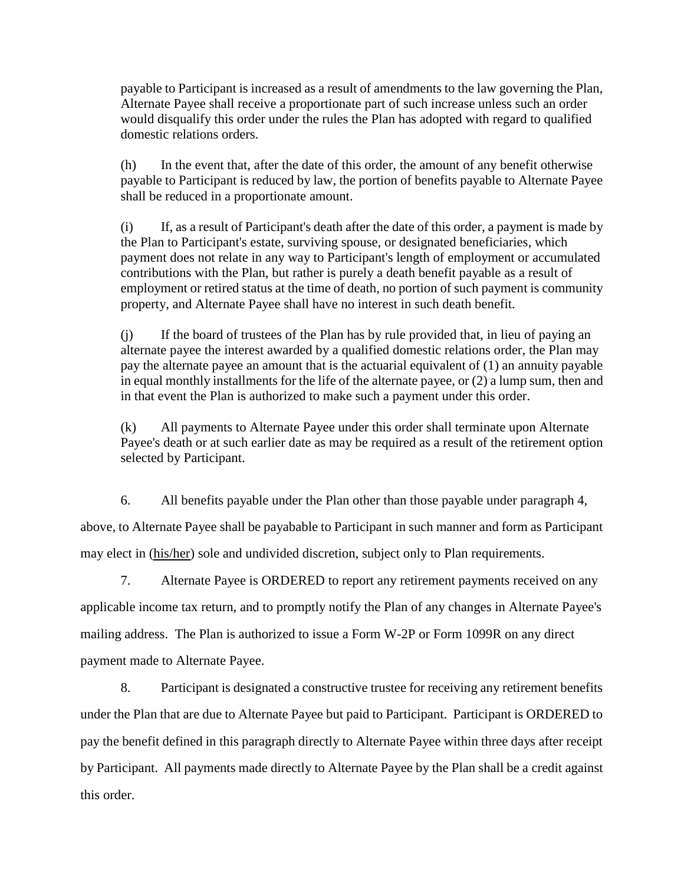payable to Participant is increased as a result of amendments to the law governing the Plan, Alternate Payee shall receive a proportionate part of such increase unless such an order would disqualify this order under the rules the Plan has adopted with regard to qualified domestic relations orders.

(h) In the event that, after the date of this order, the amount of any benefit otherwise payable to Participant is reduced by law, the portion of benefits payable to Alternate Payee shall be reduced in a proportionate amount.

(i) If, as a result of Participant's death after the date of this order, a payment is made by the Plan to Participant's estate, surviving spouse, or designated beneficiaries, which payment does not relate in any way to Participant's length of employment or accumulated contributions with the Plan, but rather is purely a death benefit payable as a result of employment or retired status at the time of death, no portion of such payment is community property, and Alternate Payee shall have no interest in such death benefit.

(j) If the board of trustees of the Plan has by rule provided that, in lieu of paying an alternate payee the interest awarded by a qualified domestic relations order, the Plan may pay the alternate payee an amount that is the actuarial equivalent of (1) an annuity payable in equal monthly installments for the life of the alternate payee, or (2) a lump sum, then and in that event the Plan is authorized to make such a payment under this order.

(k) All payments to Alternate Payee under this order shall terminate upon Alternate Payee's death or at such earlier date as may be required as a result of the retirement option selected by Participant.

6. All benefits payable under the Plan other than those payable under paragraph 4, above, to Alternate Payee shall be payabable to Participant in such manner and form as Participant may elect in (his/her) sole and undivided discretion, subject only to Plan requirements.

7. Alternate Payee is ORDERED to report any retirement payments received on any applicable income tax return, and to promptly notify the Plan of any changes in Alternate Payee's mailing address. The Plan is authorized to issue a Form W-2P or Form 1099R on any direct payment made to Alternate Payee.

8. Participant is designated a constructive trustee for receiving any retirement benefits under the Plan that are due to Alternate Payee but paid to Participant. Participant is ORDERED to pay the benefit defined in this paragraph directly to Alternate Payee within three days after receipt by Participant. All payments made directly to Alternate Payee by the Plan shall be a credit against this order.